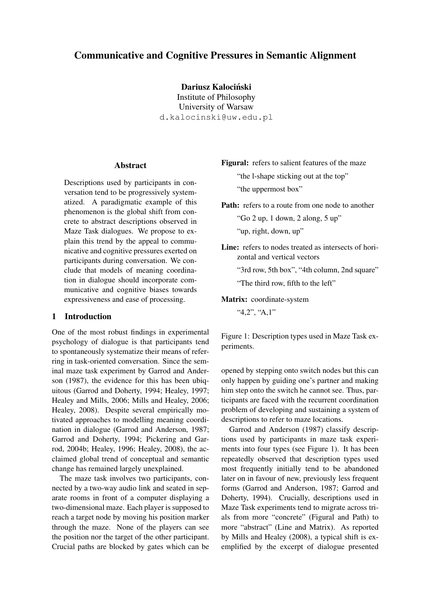# Communicative and Cognitive Pressures in Semantic Alignment

Dariusz Kalociński

Institute of Philosophy University of Warsaw d.kalocinski@uw.edu.pl

### **Abstract**

Descriptions used by participants in conversation tend to be progressively systematized. A paradigmatic example of this phenomenon is the global shift from concrete to abstract descriptions observed in Maze Task dialogues. We propose to explain this trend by the appeal to communicative and cognitive pressures exerted on participants during conversation. We conclude that models of meaning coordination in dialogue should incorporate communicative and cognitive biases towards expressiveness and ease of processing.

### 1 Introduction

One of the most robust findings in experimental psychology of dialogue is that participants tend to spontaneously systematize their means of referring in task-oriented conversation. Since the seminal maze task experiment by Garrod and Anderson (1987), the evidence for this has been ubiquitous (Garrod and Doherty, 1994; Healey, 1997; Healey and Mills, 2006; Mills and Healey, 2006; Healey, 2008). Despite several empirically motivated approaches to modelling meaning coordination in dialogue (Garrod and Anderson, 1987; Garrod and Doherty, 1994; Pickering and Garrod, 2004b; Healey, 1996; Healey, 2008), the acclaimed global trend of conceptual and semantic change has remained largely unexplained.

The maze task involves two participants, connected by a two-way audio link and seated in separate rooms in front of a computer displaying a two-dimensional maze. Each player is supposed to reach a target node by moving his position marker through the maze. None of the players can see the position nor the target of the other participant. Crucial paths are blocked by gates which can be Figural: refers to salient features of the maze

"the l-shape sticking out at the top" "the uppermost box"

Path: refers to a route from one node to another

"Go 2 up, 1 down, 2 along, 5 up"

"up, right, down, up"

Line: refers to nodes treated as intersects of horizontal and vertical vectors

"3rd row, 5th box", "4th column, 2nd square"

"The third row, fifth to the left"

Matrix: coordinate-system

"4,2", "A,1"

Figure 1: Description types used in Maze Task experiments.

opened by stepping onto switch nodes but this can only happen by guiding one's partner and making him step onto the switch he cannot see. Thus, participants are faced with the recurrent coordination problem of developing and sustaining a system of descriptions to refer to maze locations.

Garrod and Anderson (1987) classify descriptions used by participants in maze task experiments into four types (see Figure 1). It has been repeatedly observed that description types used most frequently initially tend to be abandoned later on in favour of new, previously less frequent forms (Garrod and Anderson, 1987; Garrod and Doherty, 1994). Crucially, descriptions used in Maze Task experiments tend to migrate across trials from more "concrete" (Figural and Path) to more "abstract" (Line and Matrix). As reported by Mills and Healey (2008), a typical shift is exemplified by the excerpt of dialogue presented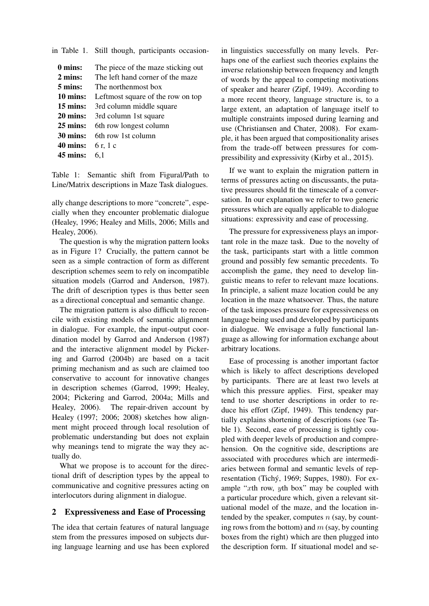in Table 1. Still though, participants occasion-

| 0 mins:            | The piece of the maze sticking out |
|--------------------|------------------------------------|
| 2 mins:            | The left hand corner of the maze   |
| 5 mins:            | The northenmost box                |
| 10 mins:           | Leftmost square of the row on top  |
| $15 \text{ mins:}$ | 3rd column middle square           |
| 20 mins:           | 3rd column 1st square              |
| $25 \text{ mins:}$ | 6th row longest column             |
| $30 \text{ mins:}$ | 6th row 1st column                 |
| 40 mins:           | 6 r, 1 c                           |
| 45 mins:           | 6.1                                |
|                    |                                    |

Table 1: Semantic shift from Figural/Path to Line/Matrix descriptions in Maze Task dialogues.

ally change descriptions to more "concrete", especially when they encounter problematic dialogue (Healey, 1996; Healey and Mills, 2006; Mills and Healey, 2006).

The question is why the migration pattern looks as in Figure 1? Crucially, the pattern cannot be seen as a simple contraction of form as different description schemes seem to rely on incompatible situation models (Garrod and Anderson, 1987). The drift of description types is thus better seen as a directional conceptual and semantic change.

The migration pattern is also difficult to reconcile with existing models of semantic alignment in dialogue. For example, the input-output coordination model by Garrod and Anderson (1987) and the interactive alignment model by Pickering and Garrod (2004b) are based on a tacit priming mechanism and as such are claimed too conservative to account for innovative changes in description schemes (Garrod, 1999; Healey, 2004; Pickering and Garrod, 2004a; Mills and Healey, 2006). The repair-driven account by Healey (1997; 2006; 2008) sketches how alignment might proceed through local resolution of problematic understanding but does not explain why meanings tend to migrate the way they actually do.

What we propose is to account for the directional drift of description types by the appeal to communicative and cognitive pressures acting on interlocutors during alignment in dialogue.

### 2 Expressiveness and Ease of Processing

The idea that certain features of natural language stem from the pressures imposed on subjects during language learning and use has been explored

in linguistics successfully on many levels. Perhaps one of the earliest such theories explains the inverse relationship between frequency and length of words by the appeal to competing motivations of speaker and hearer (Zipf, 1949). According to a more recent theory, language structure is, to a large extent, an adaptation of language itself to multiple constraints imposed during learning and use (Christiansen and Chater, 2008). For example, it has been argued that compositionality arises from the trade-off between pressures for compressibility and expressivity (Kirby et al., 2015).

If we want to explain the migration pattern in terms of pressures acting on discussants, the putative pressures should fit the timescale of a conversation. In our explanation we refer to two generic pressures which are equally applicable to dialogue situations: expressivity and ease of processing.

The pressure for expressiveness plays an important role in the maze task. Due to the novelty of the task, participants start with a little common ground and possibly few semantic precedents. To accomplish the game, they need to develop linguistic means to refer to relevant maze locations. In principle, a salient maze location could be any location in the maze whatsoever. Thus, the nature of the task imposes pressure for expressiveness on language being used and developed by participants in dialogue. We envisage a fully functional language as allowing for information exchange about arbitrary locations.

Ease of processing is another important factor which is likely to affect descriptions developed by participants. There are at least two levels at which this pressure applies. First, speaker may tend to use shorter descriptions in order to reduce his effort (Zipf, 1949). This tendency partially explains shortening of descriptions (see Table 1). Second, ease of processing is tightly coupled with deeper levels of production and comprehension. On the cognitive side, descriptions are associated with procedures which are intermediaries between formal and semantic levels of representation (Tichý, 1969; Suppes, 1980). For example "xth row, yth box" may be coupled with a particular procedure which, given a relevant situational model of the maze, and the location intended by the speaker, computes  $n$  (say, by counting rows from the bottom) and  $m$  (say, by counting boxes from the right) which are then plugged into the description form. If situational model and se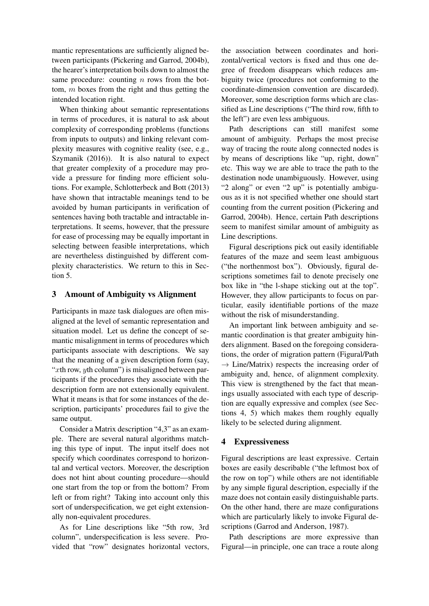mantic representations are sufficiently aligned between participants (Pickering and Garrod, 2004b), the hearer's interpretation boils down to almost the same procedure: counting  $n$  rows from the bottom, m boxes from the right and thus getting the intended location right.

When thinking about semantic representations in terms of procedures, it is natural to ask about complexity of corresponding problems (functions from inputs to outputs) and linking relevant complexity measures with cognitive reality (see, e.g., Szymanik (2016)). It is also natural to expect that greater complexity of a procedure may provide a pressure for finding more efficient solutions. For example, Schlotterbeck and Bott (2013) have shown that intractable meanings tend to be avoided by human participants in verification of sentences having both tractable and intractable interpretations. It seems, however, that the pressure for ease of processing may be equally important in selecting between feasible interpretations, which are nevertheless distinguished by different complexity characteristics. We return to this in Section 5.

## 3 Amount of Ambiguity vs Alignment

Participants in maze task dialogues are often misaligned at the level of semantic representation and situation model. Let us define the concept of semantic misalignment in terms of procedures which participants associate with descriptions. We say that the meaning of a given description form (say, " $xth$  row,  $yth$  column") is misaligned between participants if the procedures they associate with the description form are not extensionally equivalent. What it means is that for some instances of the description, participants' procedures fail to give the same output.

Consider a Matrix description "4,3" as an example. There are several natural algorithms matching this type of input. The input itself does not specify which coordinates correspond to horizontal and vertical vectors. Moreover, the description does not hint about counting procedure—should one start from the top or from the bottom? From left or from right? Taking into account only this sort of underspecification, we get eight extensionally non-equivalent procedures.

As for Line descriptions like "5th row, 3rd column", underspecification is less severe. Provided that "row" designates horizontal vectors,

the association between coordinates and horizontal/vertical vectors is fixed and thus one degree of freedom disappears which reduces ambiguity twice (procedures not conforming to the coordinate-dimension convention are discarded). Moreover, some description forms which are classified as Line descriptions ("The third row, fifth to the left") are even less ambiguous.

Path descriptions can still manifest some amount of ambiguity. Perhaps the most precise way of tracing the route along connected nodes is by means of descriptions like "up, right, down" etc. This way we are able to trace the path to the destination node unambiguously. However, using "2 along" or even "2 up" is potentially ambiguous as it is not specified whether one should start counting from the current position (Pickering and Garrod, 2004b). Hence, certain Path descriptions seem to manifest similar amount of ambiguity as Line descriptions.

Figural descriptions pick out easily identifiable features of the maze and seem least ambiguous ("the northenmost box"). Obviously, figural descriptions sometimes fail to denote precisely one box like in "the l-shape sticking out at the top". However, they allow participants to focus on particular, easily identifiable portions of the maze without the risk of misunderstanding.

An important link between ambiguity and semantic coordination is that greater ambiguity hinders alignment. Based on the foregoing considerations, the order of migration pattern (Figural/Path  $\rightarrow$  Line/Matrix) respects the increasing order of ambiguity and, hence, of alignment complexity. This view is strengthened by the fact that meanings usually associated with each type of description are equally expressive and complex (see Sections 4, 5) which makes them roughly equally likely to be selected during alignment.

### 4 Expressiveness

Figural descriptions are least expressive. Certain boxes are easily describable ("the leftmost box of the row on top") while others are not identifiable by any simple figural description, especially if the maze does not contain easily distinguishable parts. On the other hand, there are maze configurations which are particularly likely to invoke Figural descriptions (Garrod and Anderson, 1987).

Path descriptions are more expressive than Figural—in principle, one can trace a route along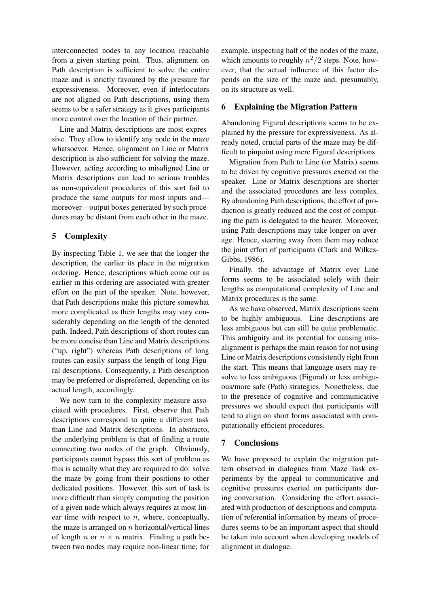interconnected nodes to any location reachable from a given starting point. Thus, alignment on Path description is sufficient to solve the entire maze and is strictly favoured by the pressure for expressiveness. Moreover, even if interlocutors are not aligned on Path descriptions, using them seems to be a safer strategy as it gives participants more control over the location of their partner.

Line and Matrix descriptions are most expressive. They allow to identify any node in the maze whatsoever. Hence, alignment on Line or Matrix description is also sufficient for solving the maze. However, acting according to misaligned Line or Matrix descriptions can lead to serious troubles as non-equivalent procedures of this sort fail to produce the same outputs for most inputs and moreover—output boxes generated by such procedures may be distant from each other in the maze.

## 5 Complexity

By inspecting Table 1, we see that the longer the description, the earlier its place in the migration ordering. Hence, descriptions which come out as earlier in this ordering are associated with greater effort on the part of the speaker. Note, however, that Path descriptions make this picture somewhat more complicated as their lengths may vary considerably depending on the length of the denoted path. Indeed, Path descriptions of short routes can be more concise than Line and Matrix descriptions ("up, right") whereas Path descriptions of long routes can easily surpass the length of long Figural descriptions. Consequently, a Path description may be preferred or dispreferred, depending on its actual length, accordingly.

We now turn to the complexity measure associated with procedures. First, observe that Path descriptions correspond to quite a different task than Line and Matrix descriptions. In abstracto, the underlying problem is that of finding a route connecting two nodes of the graph. Obviously, participants cannot bypass this sort of problem as this is actually what they are required to do: solve the maze by going from their positions to other dedicated positions. However, this sort of task is more difficult than simply computing the position of a given node which always requires at most linear time with respect to  $n$ , where, conceptually, the maze is arranged on  $n$  horizontal/vertical lines of length n or  $n \times n$  matrix. Finding a path between two nodes may require non-linear time; for

example, inspecting half of the nodes of the maze, which amounts to roughly  $n^2/2$  steps. Note, however, that the actual influence of this factor depends on the size of the maze and, presumably, on its structure as well.

## 6 Explaining the Migration Pattern

Abandoning Figural descriptions seems to be explained by the pressure for expressiveness. As already noted, crucial parts of the maze may be difficult to pinpoint using mere Figural descriptions.

Migration from Path to Line (or Matrix) seems to be driven by cognitive pressures exerted on the speaker. Line or Matrix descriptions are shorter and the associated procedures are less complex. By abandoning Path descriptions, the effort of production is greatly reduced and the cost of computing the path is delegated to the hearer. Moreover, using Path descriptions may take longer on average. Hence, steering away from them may reduce the joint effort of participants (Clark and Wilkes-Gibbs, 1986).

Finally, the advantage of Matrix over Line forms seems to be associated solely with their lengths as computational complexity of Line and Matrix procedures is the same.

As we have observed, Matrix descriptions seem to be highly ambiguous. Line descriptions are less ambiguous but can still be quite problematic. This ambiguity and its potential for causing misalignment is perhaps the main reason for not using Line or Matrix descriptions consistently right from the start. This means that language users may resolve to less ambiguous (Figural) or less ambiguous/more safe (Path) strategies. Nonetheless, due to the presence of cognitive and communicative pressures we should expect that participants will tend to align on short forms associated with computationally efficient procedures.

## 7 Conclusions

We have proposed to explain the migration pattern observed in dialogues from Maze Task experiments by the appeal to communicative and cognitive pressures exerted on participants during conversation. Considering the effort associated with production of descriptions and computation of referential information by means of procedures seems to be an important aspect that should be taken into account when developing models of alignment in dialogue.